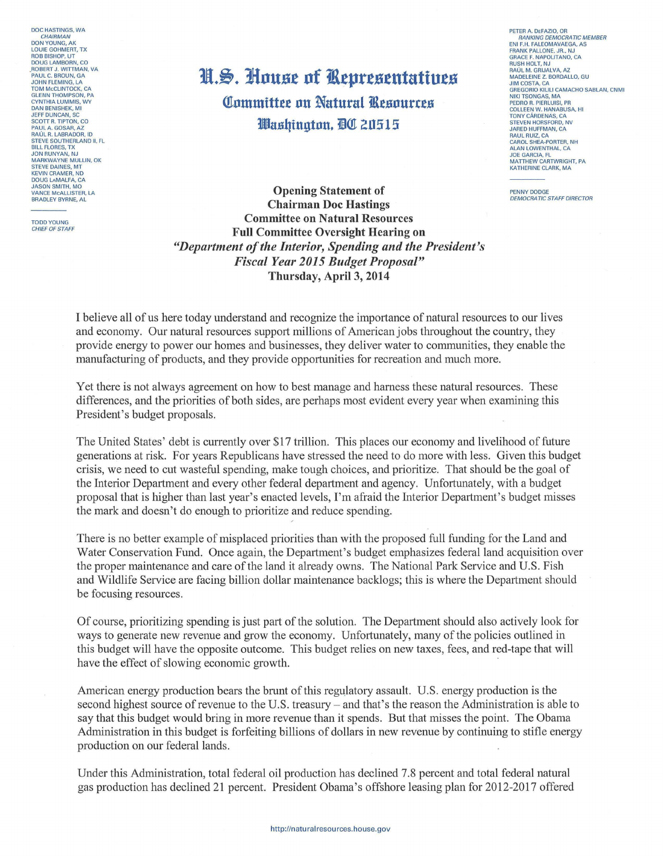DOC HASTINGS WA **CHAIRMAN**<br>DON YOUNG, AK LOUIE GOHMERT, TX ROB BISHOP, UT DOUG LAMBORN, CO DOUG LAMBORN, CO<br>ROBERT J. WITTMAN, VA<br>PAUL C. BROUN, GA<br>JOHN FLEMING, LA<br>TOM MCCLINTOCK, CA **GLENN THOMPSON, PA** CYNTHIA LUMMIS, WY<br>DAN BENISHEK, MI<br>JEFF DUNCAN, SC SEPT DONCANT, SO<br>PAUL A. GOSAR, AZ<br>RAÚL R. LABRADOR, ID<br>STEVE SOUTHERLAND II, FL STEVE SOUTHERLAND II, FI<br>BILL FLORES, TX<br>JON RUNYAN, NJ<br>MARKWAYNE MULLIN, OK STEVE DAINES, MT<br>KEVIN CRAMER, ND<br>DOUG LAMALFA, CA **JASON SMITH, MO** VANCE MCALLISTER, LA<br>BRADLEY BYRNE, AL

**TODD YOUNG** CHIEF OF STAFF

## N.S. House of Representatives

**Committee on Natural Resources** Washinaton, AC 20515

PETER A. DEFAZIO, OR<br>RANKING DEMOCRATIC MEMBER ENLE.H. FALEOMAVAEGA, AS ENTER PALLONE, JR., NJ<br>FRANK PALLONE, JR., NJ<br>GRACE F. NAPOLITANO, CA<br>RUSH HOLT, NJ RAÚL M. GRIJAI VA. AZ MADELEINE Z. BORDALLO, GU **JIM COSTA, CA** GREGORIO KILILI CAMACHO SABLAN, CNMI NIKI TSONGAS, MA<br>PEDRO R. PIERLUISI, PR<br>COLLEEN W. HANABUSA, HI **COLLEEN W. HANABOSA**<br>TONY CÁRDENAS, CA<br>STEVEN HORSFORD, NV<br>JARED HUFFMAN, CA RAUL RUIZ, CA<br>CAROL SHEA-PORTER, NH<br>ALAN LOWENTHAL, CA **JOE GARCIA, FL** MATTHEW CARTWRIGHT, PA KATHERINE CLARK, MA

PENNY DODGE **DEMOCRATIC STAFE DIRECTOR** 

**Opening Statement of Chairman Doc Hastings Committee on Natural Resources Full Committee Oversight Hearing on** "Department of the Interior, Spending and the President's **Fiscal Year 2015 Budget Proposal"** Thursday, April 3, 2014

I believe all of us here today understand and recognize the importance of natural resources to our lives and economy. Our natural resources support millions of American jobs throughout the country, they provide energy to power our homes and businesses, they deliver water to communities, they enable the manufacturing of products, and they provide opportunities for recreation and much more.

Yet there is not always agreement on how to best manage and harness these natural resources. These differences, and the priorities of both sides, are perhaps most evident every year when examining this President's budget proposals.

The United States' debt is currently over \$17 trillion. This places our economy and livelihood of future generations at risk. For years Republicans have stressed the need to do more with less. Given this budget crisis, we need to cut wasteful spending, make tough choices, and prioritize. That should be the goal of the Interior Department and every other federal department and agency. Unfortunately, with a budget proposal that is higher than last year's enacted levels, I'm afraid the Interior Department's budget misses the mark and doesn't do enough to prioritize and reduce spending.

There is no better example of misplaced priorities than with the proposed full funding for the Land and Water Conservation Fund. Once again, the Department's budget emphasizes federal land acquisition over the proper maintenance and care of the land it already owns. The National Park Service and U.S. Fish and Wildlife Service are facing billion dollar maintenance backlogs; this is where the Department should be focusing resources.

Of course, prioritizing spending is just part of the solution. The Department should also actively look for ways to generate new revenue and grow the economy. Unfortunately, many of the policies outlined in this budget will have the opposite outcome. This budget relies on new taxes, fees, and red-tape that will have the effect of slowing economic growth.

American energy production bears the brunt of this regulatory assault. U.S. energy production is the second highest source of revenue to the U.S. treasury – and that's the reason the Administration is able to say that this budget would bring in more revenue than it spends. But that misses the point. The Obama Administration in this budget is forfeiting billions of dollars in new revenue by continuing to stifle energy production on our federal lands.

Under this Administration, total federal oil production has declined 7.8 percent and total federal natural gas production has declined 21 percent. President Obama's offshore leasing plan for 2012-2017 offered